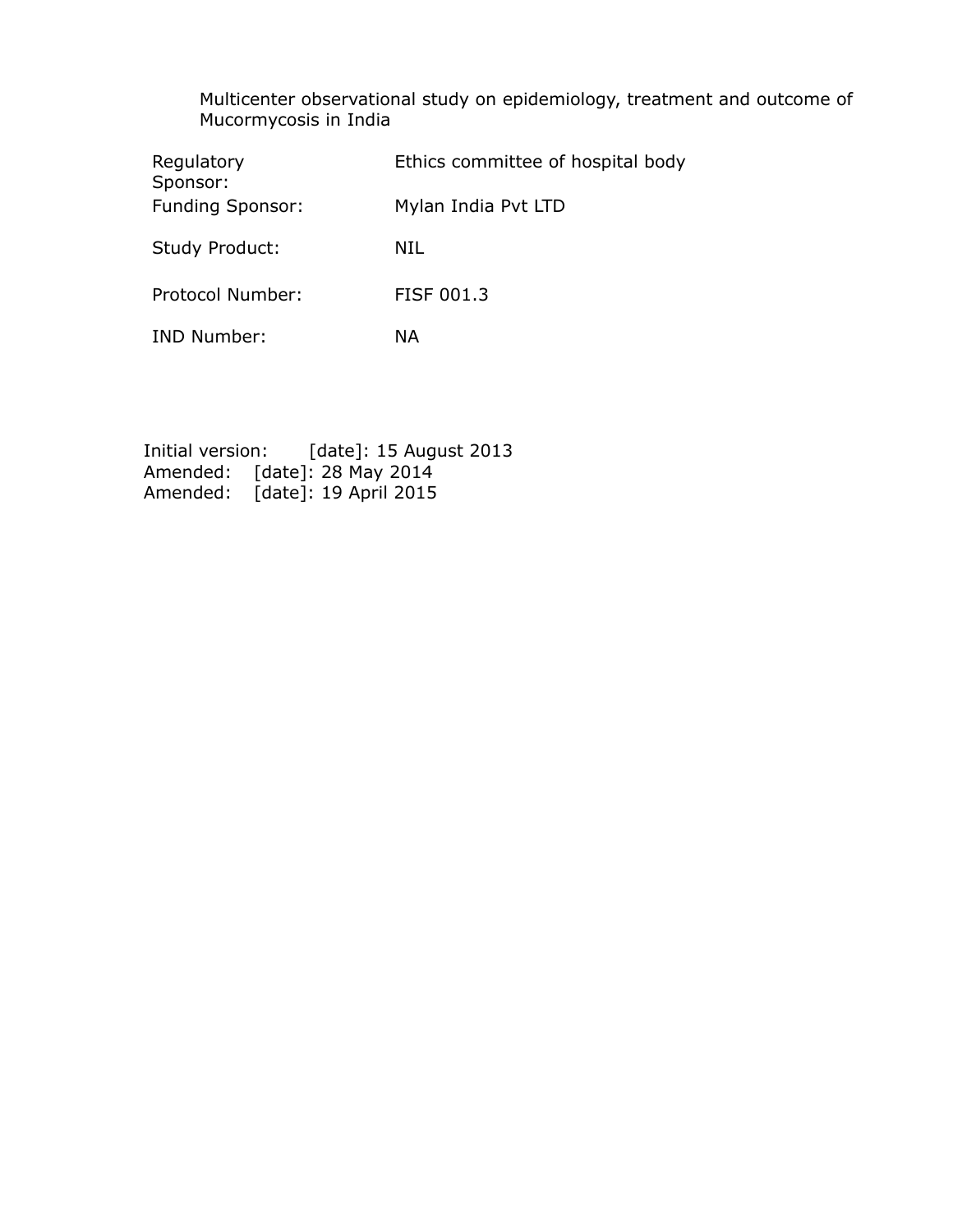Multicenter observational study on epidemiology, treatment and outcome of Mucormycosis in India

| Regulatory<br>Sponsor:  | Ethics committee of hospital body |
|-------------------------|-----------------------------------|
| <b>Funding Sponsor:</b> | Mylan India Pvt LTD               |
| <b>Study Product:</b>   | NIL                               |
| Protocol Number:        | FISF 001.3                        |
| <b>IND Number:</b>      | ΝA                                |

Initial version: [date]: 15 August 2013 Amended: [date]: 28 May 2014 Amended: [date]: 19 April 2015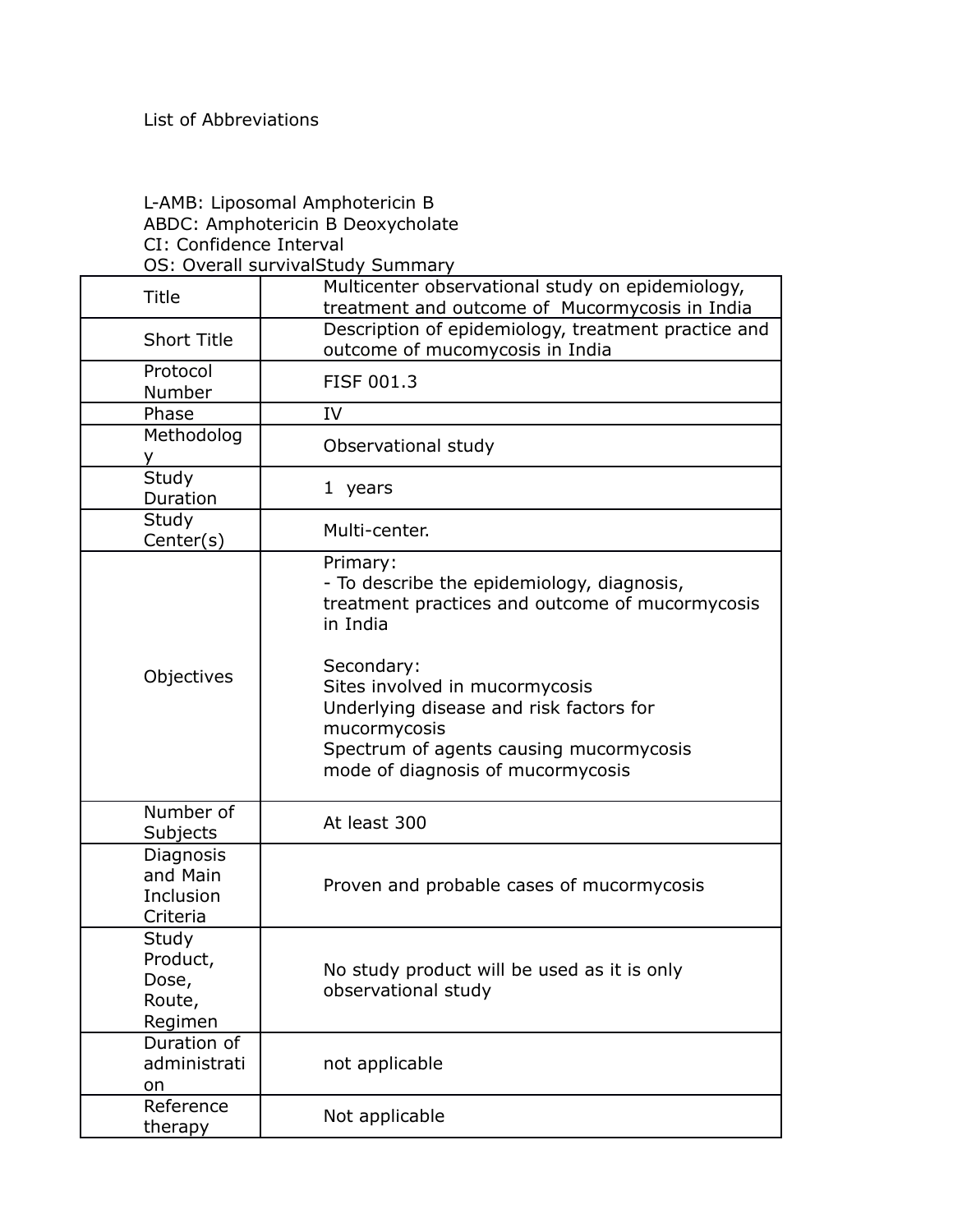## L-AMB: Liposomal Amphotericin B ABDC: Amphotericin B Deoxycholate CI: Confidence Interval OS: Overall survivalStudy Summary

| <b>Title</b>                                    | Multicenter observational study on epidemiology,<br>treatment and outcome of Mucormycosis in India                                                                                      |
|-------------------------------------------------|-----------------------------------------------------------------------------------------------------------------------------------------------------------------------------------------|
| <b>Short Title</b>                              | Description of epidemiology, treatment practice and<br>outcome of mucomycosis in India                                                                                                  |
| Protocol<br>Number                              | <b>FISF 001.3</b>                                                                                                                                                                       |
| Phase                                           | IV                                                                                                                                                                                      |
| Methodolog<br>v.                                | Observational study                                                                                                                                                                     |
| Study<br>Duration                               | 1 years                                                                                                                                                                                 |
| Study<br>Center(s)                              | Multi-center.                                                                                                                                                                           |
|                                                 | Primary:<br>- To describe the epidemiology, diagnosis,<br>treatment practices and outcome of mucormycosis<br>in India                                                                   |
| Objectives                                      | Secondary:<br>Sites involved in mucormycosis<br>Underlying disease and risk factors for<br>mucormycosis<br>Spectrum of agents causing mucormycosis<br>mode of diagnosis of mucormycosis |
| Number of<br>Subjects                           | At least 300                                                                                                                                                                            |
| Diagnosis<br>and Main<br>Inclusion<br>Criteria  | Proven and probable cases of mucormycosis                                                                                                                                               |
| Study<br>Product,<br>Dose,<br>Route,<br>Regimen | No study product will be used as it is only<br>observational study                                                                                                                      |
| Duration of<br>administrati<br>on               | not applicable                                                                                                                                                                          |
| Reference<br>therapy                            | Not applicable                                                                                                                                                                          |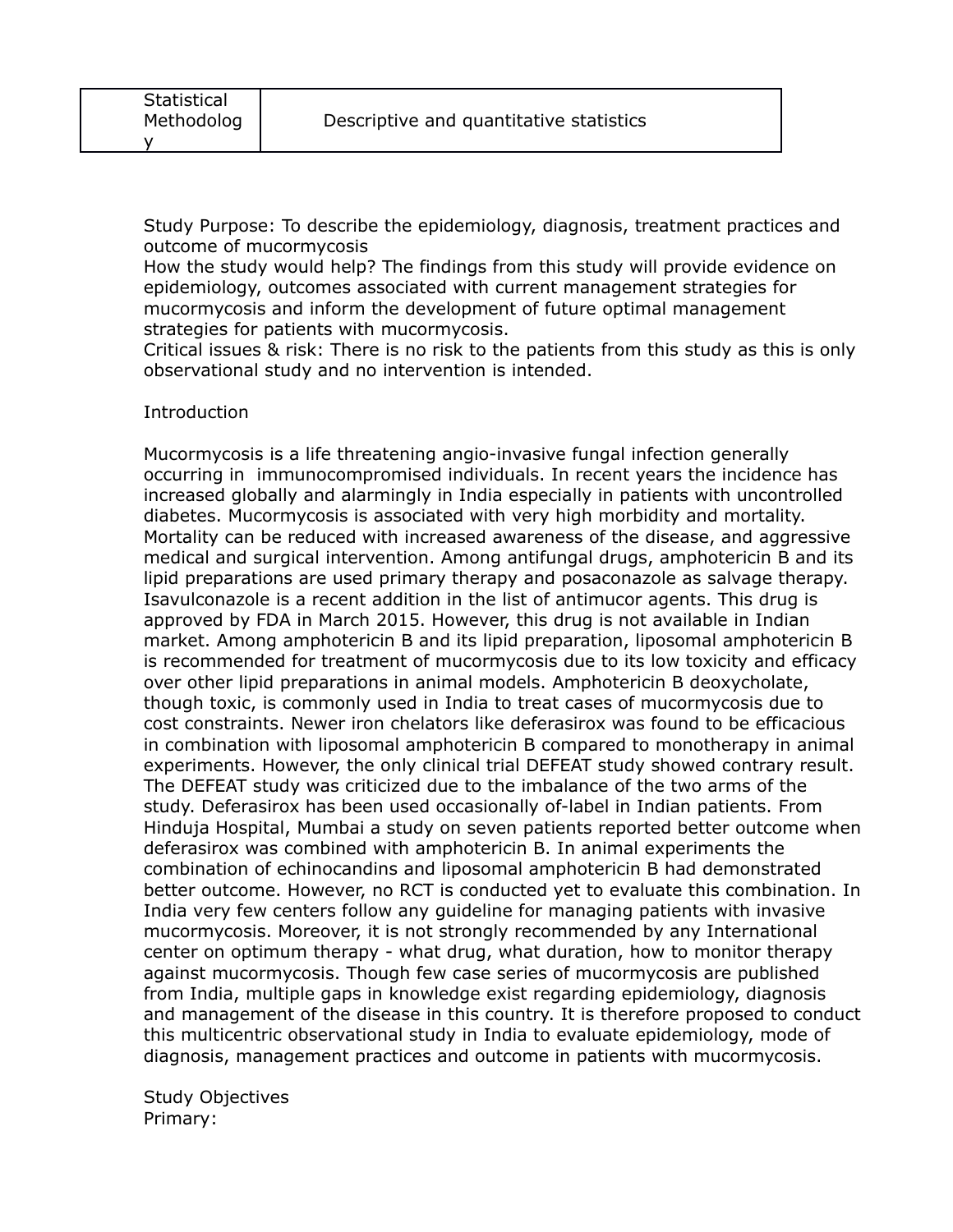Study Purpose: To describe the epidemiology, diagnosis, treatment practices and outcome of mucormycosis

How the study would help? The findings from this study will provide evidence on epidemiology, outcomes associated with current management strategies for mucormycosis and inform the development of future optimal management strategies for patients with mucormycosis.

Critical issues & risk: There is no risk to the patients from this study as this is only observational study and no intervention is intended.

## Introduction

Mucormycosis is a life threatening angio-invasive fungal infection generally occurring in immunocompromised individuals. In recent years the incidence has increased globally and alarmingly in India especially in patients with uncontrolled diabetes. Mucormycosis is associated with very high morbidity and mortality. Mortality can be reduced with increased awareness of the disease, and aggressive medical and surgical intervention. Among antifungal drugs, amphotericin B and its lipid preparations are used primary therapy and posaconazole as salvage therapy. Isavulconazole is a recent addition in the list of antimucor agents. This drug is approved by FDA in March 2015. However, this drug is not available in Indian market. Among amphotericin B and its lipid preparation, liposomal amphotericin B is recommended for treatment of mucormycosis due to its low toxicity and efficacy over other lipid preparations in animal models. Amphotericin B deoxycholate, though toxic, is commonly used in India to treat cases of mucormycosis due to cost constraints. Newer iron chelators like deferasirox was found to be efficacious in combination with liposomal amphotericin B compared to monotherapy in animal experiments. However, the only clinical trial DEFEAT study showed contrary result. The DEFEAT study was criticized due to the imbalance of the two arms of the study. Deferasirox has been used occasionally of-label in Indian patients. From Hinduja Hospital, Mumbai a study on seven patients reported better outcome when deferasirox was combined with amphotericin B. In animal experiments the combination of echinocandins and liposomal amphotericin B had demonstrated better outcome. However, no RCT is conducted yet to evaluate this combination. In India very few centers follow any guideline for managing patients with invasive mucormycosis. Moreover, it is not strongly recommended by any International center on optimum therapy - what drug, what duration, how to monitor therapy against mucormycosis. Though few case series of mucormycosis are published from India, multiple gaps in knowledge exist regarding epidemiology, diagnosis and management of the disease in this country. It is therefore proposed to conduct this multicentric observational study in India to evaluate epidemiology, mode of diagnosis, management practices and outcome in patients with mucormycosis.

Study Objectives Primary: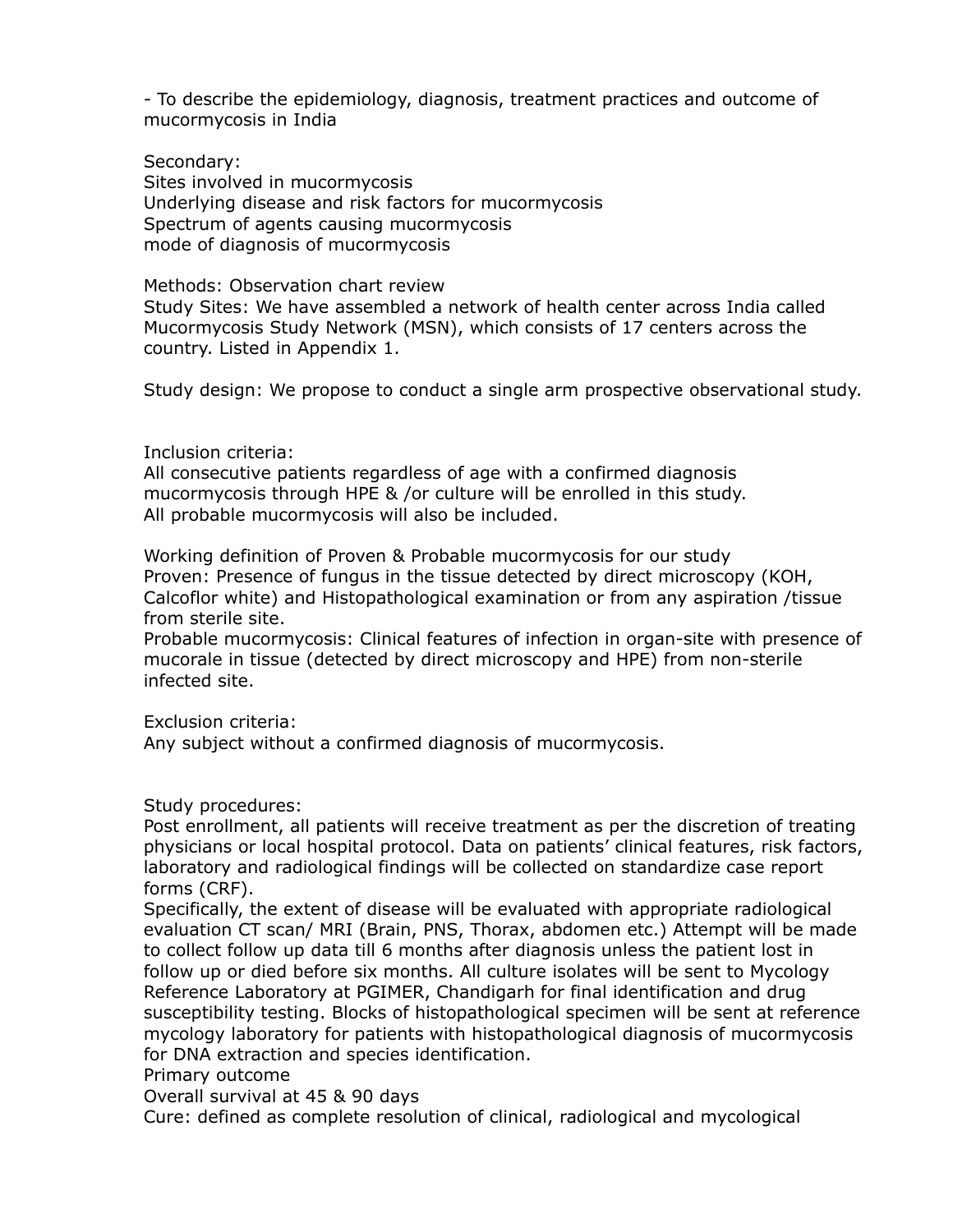- To describe the epidemiology, diagnosis, treatment practices and outcome of mucormycosis in India

Secondary: Sites involved in mucormycosis Underlying disease and risk factors for mucormycosis Spectrum of agents causing mucormycosis mode of diagnosis of mucormycosis

Methods: Observation chart review Study Sites: We have assembled a network of health center across India called Mucormycosis Study Network (MSN), which consists of 17 centers across the country. Listed in Appendix 1.

Study design: We propose to conduct a single arm prospective observational study.

## Inclusion criteria:

All consecutive patients regardless of age with a confirmed diagnosis mucormycosis through HPE & /or culture will be enrolled in this study. All probable mucormycosis will also be included.

Working definition of Proven & Probable mucormycosis for our study Proven: Presence of fungus in the tissue detected by direct microscopy (KOH, Calcoflor white) and Histopathological examination or from any aspiration /tissue from sterile site.

Probable mucormycosis: Clinical features of infection in organ-site with presence of mucorale in tissue (detected by direct microscopy and HPE) from non-sterile infected site.

Exclusion criteria:

Any subject without a confirmed diagnosis of mucormycosis.

Study procedures:

Post enrollment, all patients will receive treatment as per the discretion of treating physicians or local hospital protocol. Data on patients' clinical features, risk factors, laboratory and radiological findings will be collected on standardize case report forms (CRF).

Specifically, the extent of disease will be evaluated with appropriate radiological evaluation CT scan/ MRI (Brain, PNS, Thorax, abdomen etc.) Attempt will be made to collect follow up data till 6 months after diagnosis unless the patient lost in follow up or died before six months. All culture isolates will be sent to Mycology Reference Laboratory at PGIMER, Chandigarh for final identification and drug susceptibility testing. Blocks of histopathological specimen will be sent at reference mycology laboratory for patients with histopathological diagnosis of mucormycosis for DNA extraction and species identification.

Primary outcome

Overall survival at 45 & 90 days

Cure: defined as complete resolution of clinical, radiological and mycological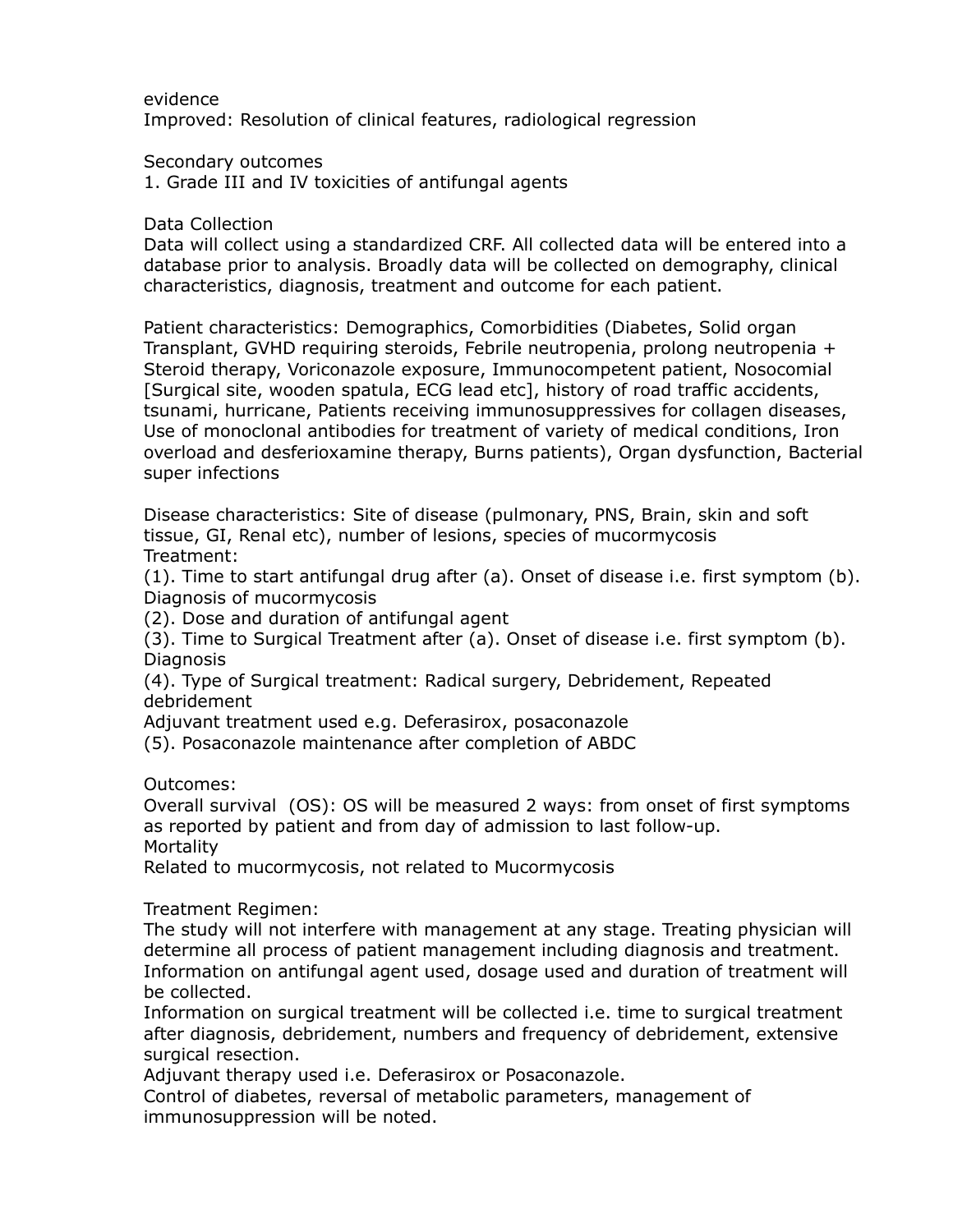evidence

Improved: Resolution of clinical features, radiological regression

Secondary outcomes

1. Grade III and IV toxicities of antifungal agents

Data Collection

Data will collect using a standardized CRF. All collected data will be entered into a database prior to analysis. Broadly data will be collected on demography, clinical characteristics, diagnosis, treatment and outcome for each patient.

Patient characteristics: Demographics, Comorbidities (Diabetes, Solid organ Transplant, GVHD requiring steroids, Febrile neutropenia, prolong neutropenia + Steroid therapy, Voriconazole exposure, Immunocompetent patient, Nosocomial [Surgical site, wooden spatula, ECG lead etc], history of road traffic accidents, tsunami, hurricane, Patients receiving immunosuppressives for collagen diseases, Use of monoclonal antibodies for treatment of variety of medical conditions, Iron overload and desferioxamine therapy, Burns patients), Organ dysfunction, Bacterial super infections

Disease characteristics: Site of disease (pulmonary, PNS, Brain, skin and soft tissue, GI, Renal etc), number of lesions, species of mucormycosis Treatment:

(1). Time to start antifungal drug after (a). Onset of disease i.e. first symptom (b). Diagnosis of mucormycosis

(2). Dose and duration of antifungal agent

(3). Time to Surgical Treatment after (a). Onset of disease i.e. first symptom (b). **Diagnosis** 

(4). Type of Surgical treatment: Radical surgery, Debridement, Repeated debridement

Adjuvant treatment used e.g. Deferasirox, posaconazole

(5). Posaconazole maintenance after completion of ABDC

Outcomes:

Overall survival (OS): OS will be measured 2 ways: from onset of first symptoms as reported by patient and from day of admission to last follow-up. **Mortality** 

Related to mucormycosis, not related to Mucormycosis

Treatment Regimen:

The study will not interfere with management at any stage. Treating physician will determine all process of patient management including diagnosis and treatment. Information on antifungal agent used, dosage used and duration of treatment will be collected.

Information on surgical treatment will be collected i.e. time to surgical treatment after diagnosis, debridement, numbers and frequency of debridement, extensive surgical resection.

Adjuvant therapy used i.e. Deferasirox or Posaconazole.

Control of diabetes, reversal of metabolic parameters, management of immunosuppression will be noted.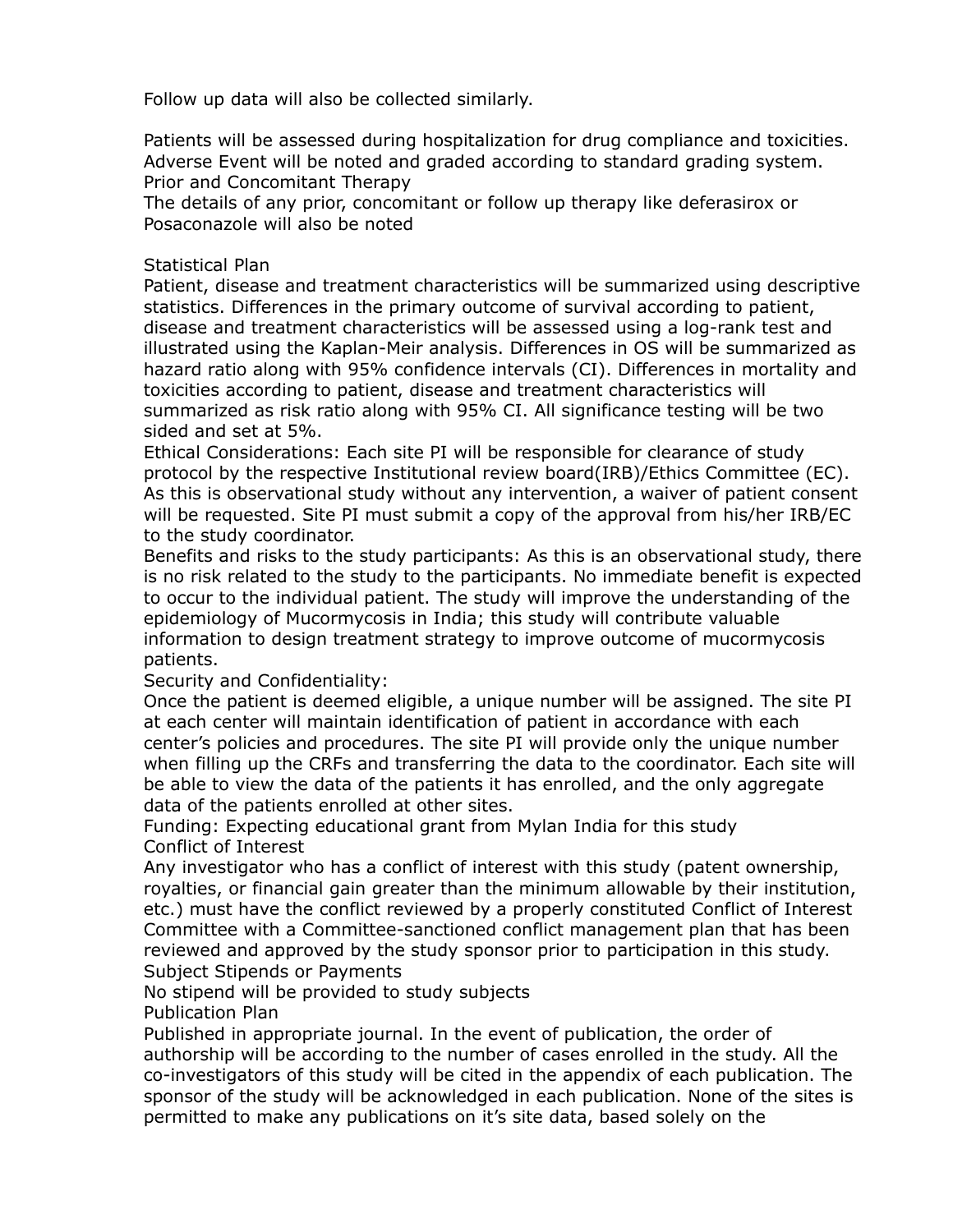Follow up data will also be collected similarly.

Patients will be assessed during hospitalization for drug compliance and toxicities. Adverse Event will be noted and graded according to standard grading system. Prior and Concomitant Therapy

The details of any prior, concomitant or follow up therapy like deferasirox or Posaconazole will also be noted

## Statistical Plan

Patient, disease and treatment characteristics will be summarized using descriptive statistics. Differences in the primary outcome of survival according to patient, disease and treatment characteristics will be assessed using a log-rank test and illustrated using the Kaplan-Meir analysis. Differences in OS will be summarized as hazard ratio along with 95% confidence intervals (CI). Differences in mortality and toxicities according to patient, disease and treatment characteristics will summarized as risk ratio along with 95% CI. All significance testing will be two sided and set at 5%.

Ethical Considerations: Each site PI will be responsible for clearance of study protocol by the respective Institutional review board(IRB)/Ethics Committee (EC). As this is observational study without any intervention, a waiver of patient consent will be requested. Site PI must submit a copy of the approval from his/her IRB/EC to the study coordinator.

Benefits and risks to the study participants: As this is an observational study, there is no risk related to the study to the participants. No immediate benefit is expected to occur to the individual patient. The study will improve the understanding of the epidemiology of Mucormycosis in India; this study will contribute valuable information to design treatment strategy to improve outcome of mucormycosis patients.

Security and Confidentiality:

Once the patient is deemed eligible, a unique number will be assigned. The site PI at each center will maintain identification of patient in accordance with each center's policies and procedures. The site PI will provide only the unique number when filling up the CRFs and transferring the data to the coordinator. Each site will be able to view the data of the patients it has enrolled, and the only aggregate data of the patients enrolled at other sites.

Funding: Expecting educational grant from Mylan India for this study Conflict of Interest

Any investigator who has a conflict of interest with this study (patent ownership, royalties, or financial gain greater than the minimum allowable by their institution, etc.) must have the conflict reviewed by a properly constituted Conflict of Interest Committee with a Committee-sanctioned conflict management plan that has been reviewed and approved by the study sponsor prior to participation in this study. Subject Stipends or Payments

No stipend will be provided to study subjects

Publication Plan

Published in appropriate journal. In the event of publication, the order of authorship will be according to the number of cases enrolled in the study. All the co-investigators of this study will be cited in the appendix of each publication. The sponsor of the study will be acknowledged in each publication. None of the sites is permitted to make any publications on it's site data, based solely on the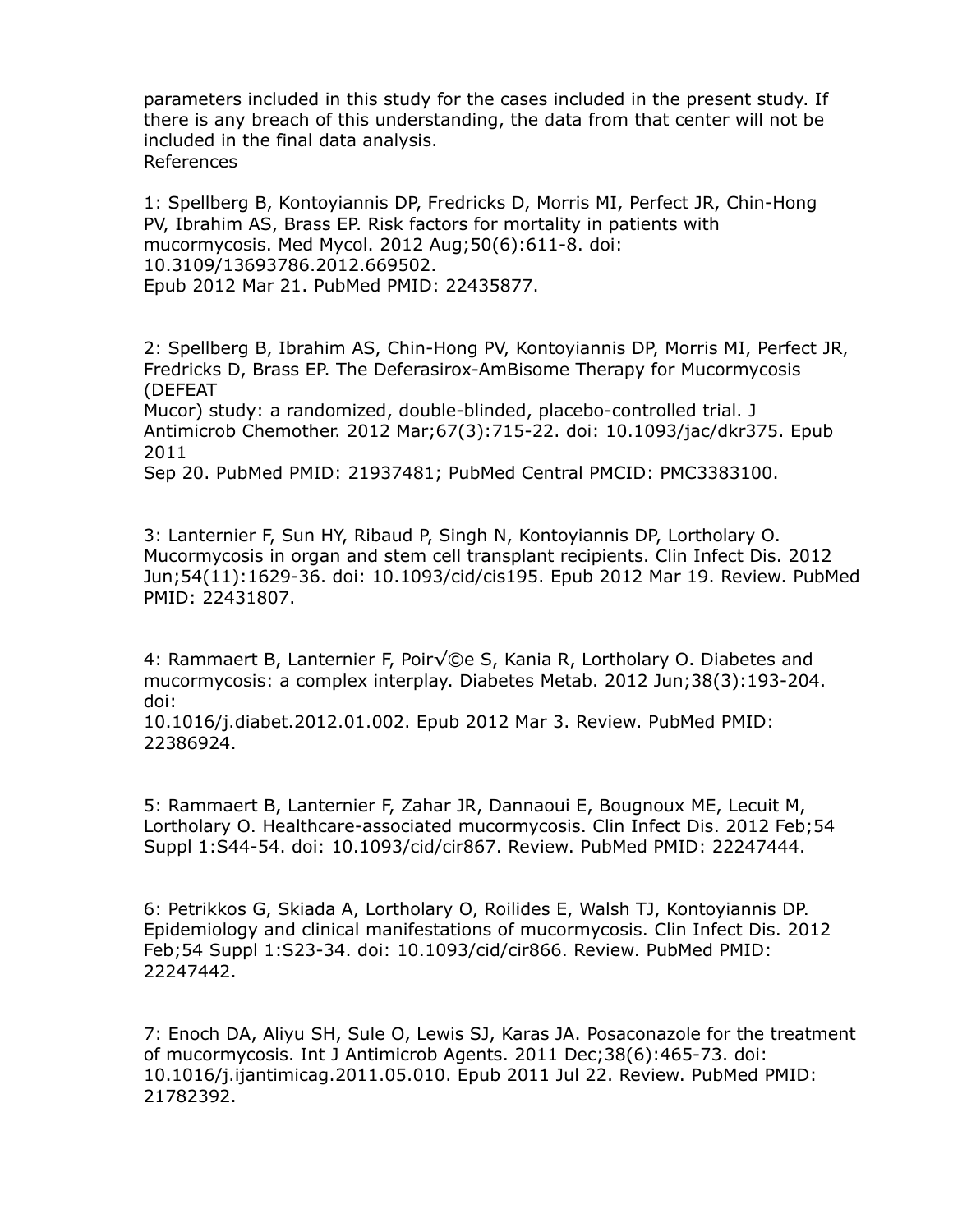parameters included in this study for the cases included in the present study. If there is any breach of this understanding, the data from that center will not be included in the final data analysis. References

1: Spellberg B, Kontoyiannis DP, Fredricks D, Morris MI, Perfect JR, Chin-Hong PV, Ibrahim AS, Brass EP. Risk factors for mortality in patients with mucormycosis. Med Mycol. 2012 Aug;50(6):611-8. doi: 10.3109/13693786.2012.669502. Epub 2012 Mar 21. PubMed PMID: 22435877.

2: Spellberg B, Ibrahim AS, Chin-Hong PV, Kontoyiannis DP, Morris MI, Perfect JR, Fredricks D, Brass EP. The Deferasirox-AmBisome Therapy for Mucormycosis (DEFEAT

Mucor) study: a randomized, double-blinded, placebo-controlled trial. J Antimicrob Chemother. 2012 Mar;67(3):715-22. doi: 10.1093/jac/dkr375. Epub 2011

Sep 20. PubMed PMID: 21937481; PubMed Central PMCID: PMC3383100.

3: Lanternier F, Sun HY, Ribaud P, Singh N, Kontoyiannis DP, Lortholary O. Mucormycosis in organ and stem cell transplant recipients. Clin Infect Dis. 2012 Jun;54(11):1629-36. doi: 10.1093/cid/cis195. Epub 2012 Mar 19. Review. PubMed PMID: 22431807.

4: Rammaert B, Lanternier F, Poir $\sqrt{\mathbb{Q}}e$  S, Kania R, Lortholary O. Diabetes and mucormycosis: a complex interplay. Diabetes Metab. 2012 Jun;38(3):193-204. doi:

10.1016/j.diabet.2012.01.002. Epub 2012 Mar 3. Review. PubMed PMID: 22386924.

5: Rammaert B, Lanternier F, Zahar JR, Dannaoui E, Bougnoux ME, Lecuit M, Lortholary O. Healthcare-associated mucormycosis. Clin Infect Dis. 2012 Feb;54 Suppl 1:S44-54. doi: 10.1093/cid/cir867. Review. PubMed PMID: 22247444.

6: Petrikkos G, Skiada A, Lortholary O, Roilides E, Walsh TJ, Kontoyiannis DP. Epidemiology and clinical manifestations of mucormycosis. Clin Infect Dis. 2012 Feb;54 Suppl 1:S23-34. doi: 10.1093/cid/cir866. Review. PubMed PMID: 22247442.

7: Enoch DA, Aliyu SH, Sule O, Lewis SJ, Karas JA. Posaconazole for the treatment of mucormycosis. Int J Antimicrob Agents. 2011 Dec;38(6):465-73. doi: 10.1016/j.ijantimicag.2011.05.010. Epub 2011 Jul 22. Review. PubMed PMID: 21782392.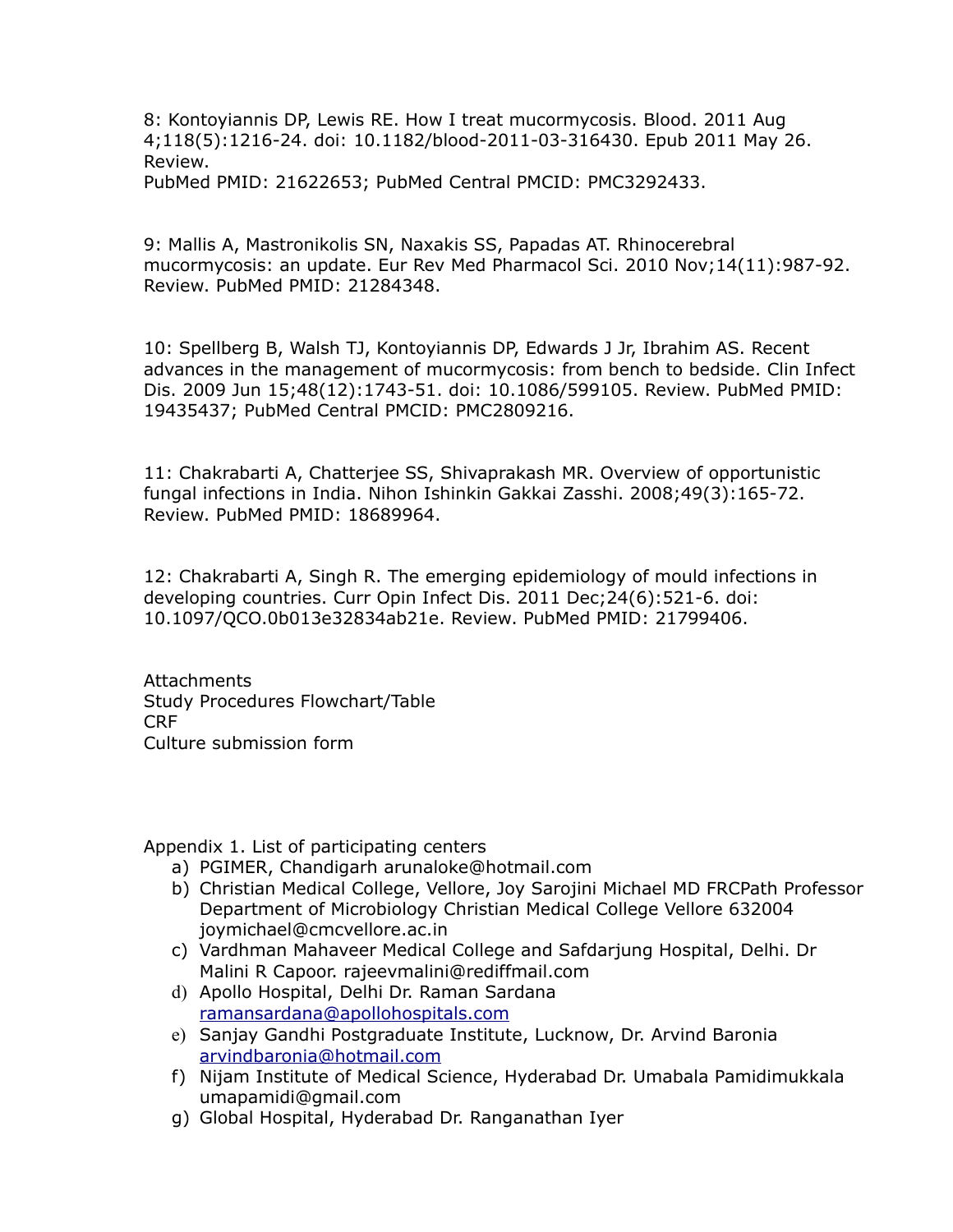8: Kontoyiannis DP, Lewis RE. How I treat mucormycosis. Blood. 2011 Aug 4;118(5):1216-24. doi: 10.1182/blood-2011-03-316430. Epub 2011 May 26. Review. PubMed PMID: 21622653; PubMed Central PMCID: PMC3292433.

9: Mallis A, Mastronikolis SN, Naxakis SS, Papadas AT. Rhinocerebral mucormycosis: an update. Eur Rev Med Pharmacol Sci. 2010 Nov;14(11):987-92. Review. PubMed PMID: 21284348.

10: Spellberg B, Walsh TJ, Kontoyiannis DP, Edwards J Jr, Ibrahim AS. Recent advances in the management of mucormycosis: from bench to bedside. Clin Infect Dis. 2009 Jun 15;48(12):1743-51. doi: 10.1086/599105. Review. PubMed PMID: 19435437; PubMed Central PMCID: PMC2809216.

11: Chakrabarti A, Chatterjee SS, Shivaprakash MR. Overview of opportunistic fungal infections in India. Nihon Ishinkin Gakkai Zasshi. 2008;49(3):165-72. Review. PubMed PMID: 18689964.

12: Chakrabarti A, Singh R. The emerging epidemiology of mould infections in developing countries. Curr Opin Infect Dis. 2011 Dec;24(6):521-6. doi: 10.1097/QCO.0b013e32834ab21e. Review. PubMed PMID: 21799406.

Attachments Study Procedures Flowchart/Table CRF Culture submission form

Appendix 1. List of participating centers

- a) PGIMER, Chandigarh arunaloke@hotmail.com
- b) Christian Medical College, Vellore, Joy Sarojini Michael MD FRCPath Professor Department of Microbiology Christian Medical College Vellore 632004 joymichael@cmcvellore.ac.in
- c) Vardhman Mahaveer Medical College and Safdarjung Hospital, Delhi. Dr Malini R Capoor. rajeevmalini@rediffmail.com
- d) Apollo Hospital, Delhi Dr. Raman Sardana ramansardana@apollohospitals.com
- e) Sanjay Gandhi Postgraduate Institute, Lucknow, Dr. Arvind Baronia arvindbaronia@hotmail.com
- f) Nijam Institute of Medical Science, Hyderabad Dr. Umabala Pamidimukkala umapamidi@gmail.com
- g) Global Hospital, Hyderabad Dr. Ranganathan Iyer